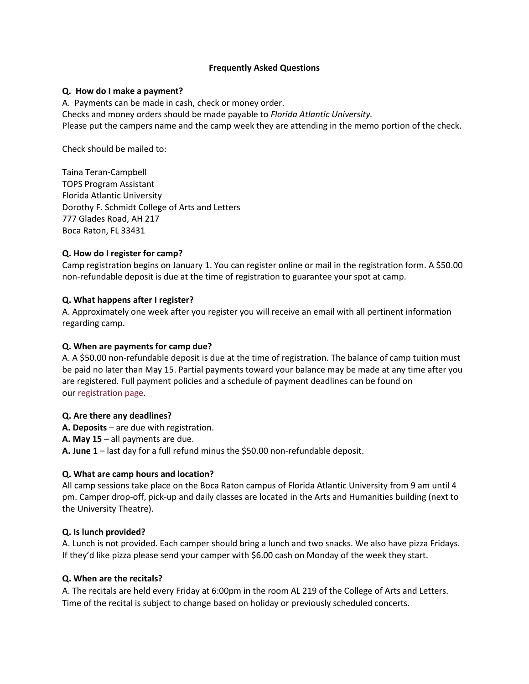#### **Frequently Asked Questions**

## **Q. How do I make a payment?**

A. Payments can be made in cash, check or money order. Checks and money orders should be made payable to *Florida Atlantic University.* Please put the campers name and the camp week they are attending in the memo portion of the check.

Check should be mailed to:

Taina Teran-Campbell TOPS Program Assistant Florida Atlantic University Dorothy F. Schmidt College of Arts and Letters 777 Glades Road, AH 217 Boca Raton, FL 33431

# **Q. How do I register for camp?**

Camp registration begins on January 1. You can register online or mail in the registration form. A \$50.00 non-refundable deposit is due at the time of registration to guarantee your spot at camp.

## **Q. What happens after I register?**

A. Approximately one week after you register you will receive an email with all pertinent information regarding camp.

## **Q. When are payments for camp due?**

A. A \$50.00 non-refundable deposit is due at the time of registration. The balance of camp tuition must be paid no later than May 15. Partial payments toward your balance may be made at any time after you are registered. Full payment policies and a schedule of payment deadlines can be found on our [registration page.](http://www.music.fsu.edu/Quicklinks/Summer-Music-Camps/Registration-Payments-and-Policies)

#### **Q. Are there any deadlines?**

- **A. Deposits**  are due with registration.
- **A. May 15** all payments are due.

**A. June 1** – last day for a full refund minus the \$50.00 non-refundable deposit.

# **Q. What are camp hours and location?**

All camp sessions take place on the Boca Raton campus of Florida Atlantic University from 9 am until 4 pm. Camper drop-off, pick-up and daily classes are located in the Arts and Humanities building (next to the University Theatre).

# **Q. Is lunch provided?**

A. Lunch is not provided. Each camper should bring a lunch and two snacks. We also have pizza Fridays. If they'd like pizza please send your camper with \$6.00 cash on Monday of the week they start.

#### **Q. When are the recitals?**

A. The recitals are held every Friday at 6:00pm in the room AL 219 of the College of Arts and Letters. Time of the recital is subject to change based on holiday or previously scheduled concerts.